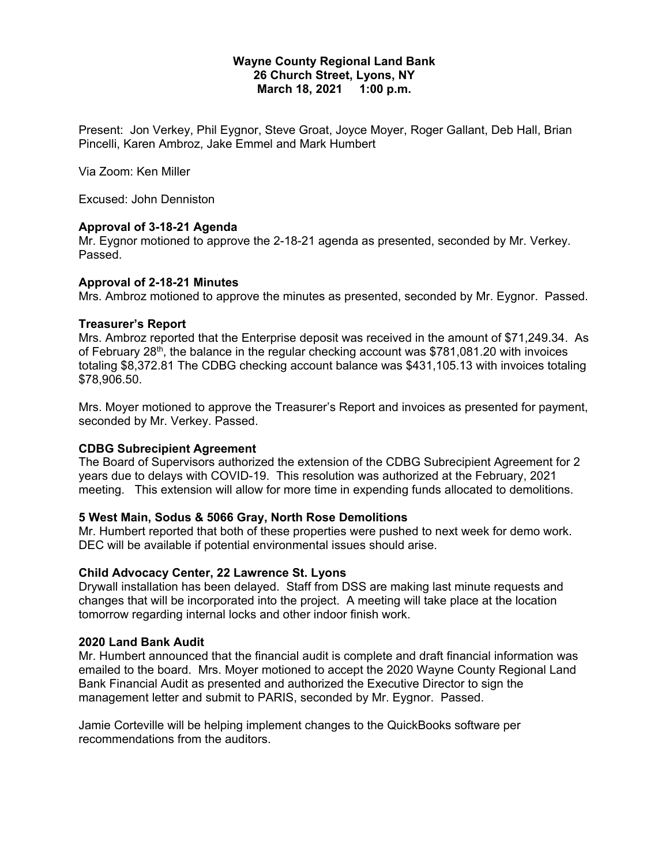#### **Wayne County Regional Land Bank 26 Church Street, Lyons, NY March 18, 2021 1:00 p.m.**

Present: Jon Verkey, Phil Eygnor, Steve Groat, Joyce Moyer, Roger Gallant, Deb Hall, Brian Pincelli, Karen Ambroz, Jake Emmel and Mark Humbert

Via Zoom: Ken Miller

Excused: John Denniston

## **Approval of 3-18-21 Agenda**

Mr. Eygnor motioned to approve the 2-18-21 agenda as presented, seconded by Mr. Verkey. Passed.

#### **Approval of 2-18-21 Minutes**

Mrs. Ambroz motioned to approve the minutes as presented, seconded by Mr. Eygnor. Passed.

## **Treasurer's Report**

Mrs. Ambroz reported that the Enterprise deposit was received in the amount of \$71,249.34. As of February  $28<sup>th</sup>$ , the balance in the regular checking account was \$781,081.20 with invoices totaling \$8,372.81 The CDBG checking account balance was \$431,105.13 with invoices totaling \$78,906.50.

Mrs. Moyer motioned to approve the Treasurer's Report and invoices as presented for payment, seconded by Mr. Verkey. Passed.

# **CDBG Subrecipient Agreement**

The Board of Supervisors authorized the extension of the CDBG Subrecipient Agreement for 2 years due to delays with COVID-19. This resolution was authorized at the February, 2021 meeting. This extension will allow for more time in expending funds allocated to demolitions.

# **5 West Main, Sodus & 5066 Gray, North Rose Demolitions**

Mr. Humbert reported that both of these properties were pushed to next week for demo work. DEC will be available if potential environmental issues should arise.

#### **Child Advocacy Center, 22 Lawrence St. Lyons**

Drywall installation has been delayed. Staff from DSS are making last minute requests and changes that will be incorporated into the project. A meeting will take place at the location tomorrow regarding internal locks and other indoor finish work.

#### **2020 Land Bank Audit**

Mr. Humbert announced that the financial audit is complete and draft financial information was emailed to the board. Mrs. Moyer motioned to accept the 2020 Wayne County Regional Land Bank Financial Audit as presented and authorized the Executive Director to sign the management letter and submit to PARIS, seconded by Mr. Eygnor. Passed.

Jamie Corteville will be helping implement changes to the QuickBooks software per recommendations from the auditors.